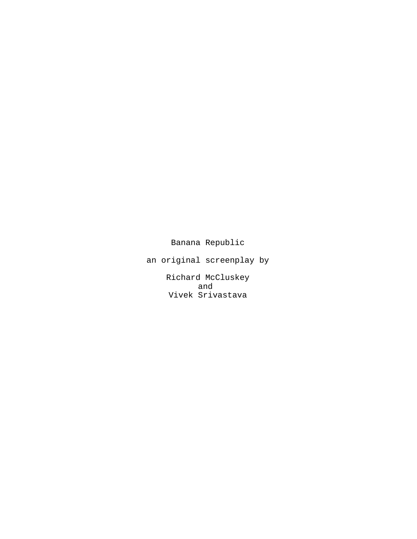Banana Republic

an original screenplay by

Richard McCluskey and Vivek Srivastava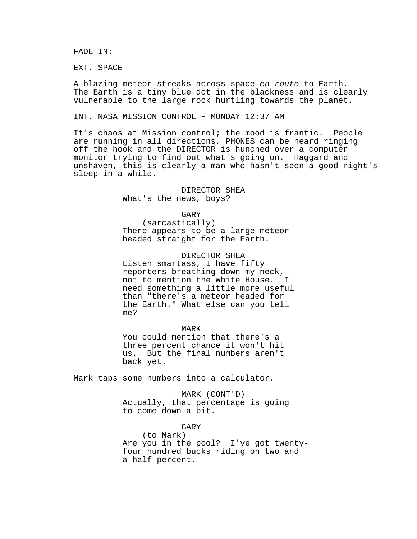FADE IN:

EXT. SPACE

A blazing meteor streaks across space en route to Earth. The Earth is a tiny blue dot in the blackness and is clearly vulnerable to the large rock hurtling towards the planet.

INT. NASA MISSION CONTROL - MONDAY 12:37 AM

It's chaos at Mission control; the mood is frantic. People are running in all directions, PHONES can be heard ringing off the hook and the DIRECTOR is hunched over a computer monitor trying to find out what's going on. Haggard and unshaven, this is clearly a man who hasn't seen a good night's sleep in a while.

> DIRECTOR SHEA What's the news, boys?

GARY (sarcastically) There appears to be a large meteor headed straight for the Earth.

DIRECTOR SHEA Listen smartass, I have fifty reporters breathing down my neck, not to mention the White House. need something a little more useful than "there's a meteor headed for the Earth." What else can you tell me?

MARK You could mention that there's a three percent chance it won't hit us. But the final numbers aren't back yet.

Mark taps some numbers into a calculator.

MARK (CONT'D) Actually, that percentage is going to come down a bit.

GARY

(to Mark) Are you in the pool? I've got twentyfour hundred bucks riding on two and a half percent.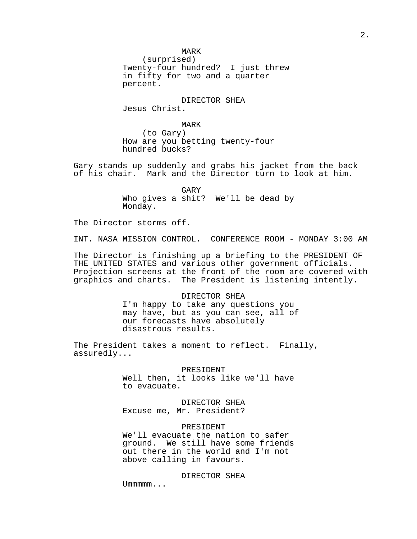2.

MARK

(surprised) Twenty-four hundred? I just threw in fifty for two and a quarter percent.

DIRECTOR SHEA Jesus Christ.

MARK

(to Gary) How are you betting twenty-four hundred bucks?

Gary stands up suddenly and grabs his jacket from the back of his chair. Mark and the Director turn to look at him.

> GARY Who gives a shit? We'll be dead by Monday.

The Director storms off.

INT. NASA MISSION CONTROL. CONFERENCE ROOM - MONDAY 3:00 AM

The Director is finishing up a briefing to the PRESIDENT OF THE UNITED STATES and various other government officials. Projection screens at the front of the room are covered with graphics and charts. The President is listening intently.

> DIRECTOR SHEA I'm happy to take any questions you may have, but as you can see, all of our forecasts have absolutely disastrous results.

The President takes a moment to reflect. Finally, assuredly...

> PRESIDENT Well then, it looks like we'll have to evacuate.

DIRECTOR SHEA Excuse me, Mr. President?

## PRESIDENT

We'll evacuate the nation to safer ground. We still have some friends out there in the world and I'm not above calling in favours.

DIRECTOR SHEA

Ummmmm...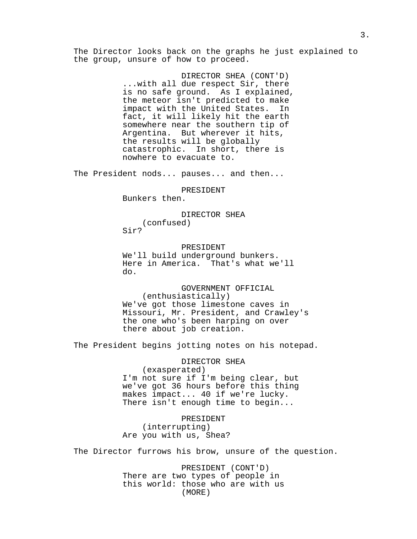The Director looks back on the graphs he just explained to the group, unsure of how to proceed.

> DIRECTOR SHEA (CONT'D) ...with all due respect Sir, there is no safe ground. As I explained, the meteor isn't predicted to make impact with the United States. In fact, it will likely hit the earth somewhere near the southern tip of Argentina. But wherever it hits, the results will be globally catastrophic. In short, there is nowhere to evacuate to.

The President nods... pauses... and then...

PRESIDENT

Bunkers then.

DIRECTOR SHEA (confused) Sir?

PRESIDENT We'll build underground bunkers. Here in America. That's what we'll do.

GOVERNMENT OFFICIAL (enthusiastically) We've got those limestone caves in Missouri, Mr. President, and Crawley's the one who's been harping on over there about job creation.

The President begins jotting notes on his notepad.

DIRECTOR SHEA (exasperated) I'm not sure if I'm being clear, but we've got 36 hours before this thing makes impact... 40 if we're lucky. There isn't enough time to begin...

PRESIDENT (interrupting) Are you with us, Shea?

The Director furrows his brow, unsure of the question.

PRESIDENT (CONT'D) There are two types of people in this world: those who are with us (MORE)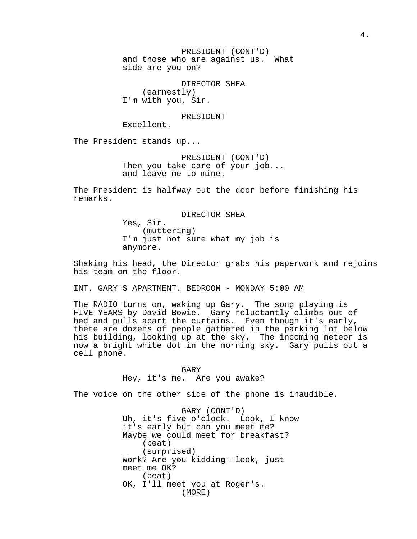PRESIDENT (CONT'D) and those who are against us. What side are you on?

DIRECTOR SHEA (earnestly) I'm with you, Sir.

PRESIDENT

Excellent.

The President stands up...

PRESIDENT (CONT'D) Then you take care of your job... and leave me to mine.

The President is halfway out the door before finishing his remarks.

DIRECTOR SHEA

Yes, Sir. (muttering) I'm just not sure what my job is anymore.

Shaking his head, the Director grabs his paperwork and rejoins his team on the floor.

INT. GARY'S APARTMENT. BEDROOM - MONDAY 5:00 AM

The RADIO turns on, waking up Gary. The song playing is FIVE YEARS by David Bowie. Gary reluctantly climbs out of bed and pulls apart the curtains. Even though it's early, there are dozens of people gathered in the parking lot below his building, looking up at the sky. The incoming meteor is now a bright white dot in the morning sky. Gary pulls out a cell phone.

> GARY Hey, it's me. Are you awake?

The voice on the other side of the phone is inaudible.

GARY (CONT'D) Uh, it's five o'clock. Look, I know it's early but can you meet me? Maybe we could meet for breakfast? (beat) (surprised) Work? Are you kidding--look, just meet me OK? (beat) OK, I'll meet you at Roger's. (MORE)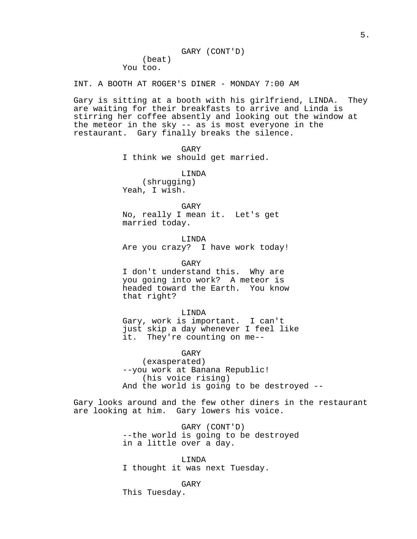INT. A BOOTH AT ROGER'S DINER - MONDAY 7:00 AM

Gary is sitting at a booth with his girlfriend, LINDA. They are waiting for their breakfasts to arrive and Linda is stirring her coffee absently and looking out the window at the meteor in the sky -- as is most everyone in the restaurant. Gary finally breaks the silence.

GARY

I think we should get married.

LINDA

(shrugging) Yeah, I wish.

### GARY

No, really I mean it. Let's get married today.

LINDA Are you crazy? I have work today!

GARY I don't understand this. Why are you going into work? A meteor is headed toward the Earth. You know that right?

LINDA Gary, work is important. I can't just skip a day whenever I feel like it. They're counting on me--

GARY (exasperated) --you work at Banana Republic! (his voice rising) And the world is going to be destroyed --

Gary looks around and the few other diners in the restaurant are looking at him. Gary lowers his voice.

> GARY (CONT'D) --the world is going to be destroyed in a little over a day.

LINDA I thought it was next Tuesday.

GARY

This Tuesday.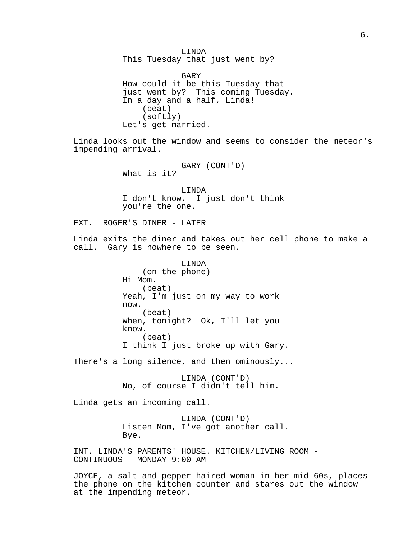LINDA This Tuesday that just went by? GARY How could it be this Tuesday that just went by? This coming Tuesday. In a day and a half, Linda! (beat) (softly) Let's get married. Linda looks out the window and seems to consider the meteor's impending arrival. GARY (CONT'D) What is it? LINDA I don't know. I just don't think you're the one. EXT. ROGER'S DINER - LATER Linda exits the diner and takes out her cell phone to make a call. Gary is nowhere to be seen. LINDA (on the phone) Hi Mom. (beat) Yeah, I'm just on my way to work now. (beat) When, tonight? Ok, I'll let you know. (beat) I think I just broke up with Gary. There's a long silence, and then ominously... LINDA (CONT'D) No, of course I didn't tell him. Linda gets an incoming call. LINDA (CONT'D) Listen Mom, I've got another call. Bye. INT. LINDA'S PARENTS' HOUSE. KITCHEN/LIVING ROOM - CONTINUOUS - MONDAY 9:00 AM JOYCE, a salt-and-pepper-haired woman in her mid-60s, places the phone on the kitchen counter and stares out the window at the impending meteor.

6.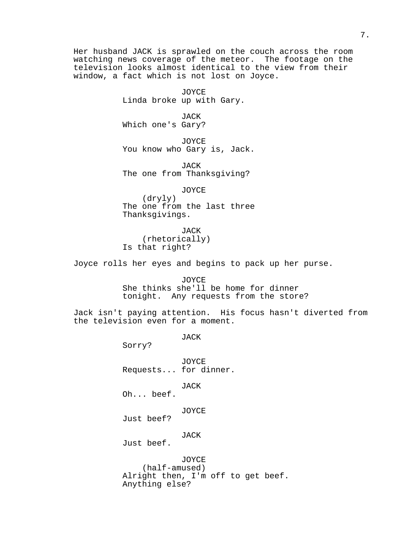Her husband JACK is sprawled on the couch across the room watching news coverage of the meteor. The footage on the television looks almost identical to the view from their window, a fact which is not lost on Joyce.

> JOYCE Linda broke up with Gary.

JACK Which one's Gary?

JOYCE You know who Gary is, Jack.

JACK The one from Thanksgiving?

JOYCE (dryly) The one from the last three Thanksgivings.

JACK (rhetorically) Is that right?

Joyce rolls her eyes and begins to pack up her purse.

JOYCE She thinks she'll be home for dinner tonight. Any requests from the store?

Jack isn't paying attention. His focus hasn't diverted from the television even for a moment.

JACK

Sorry?

JOYCE Requests... for dinner.

JACK

Oh... beef.

JOYCE

Just beef?

JACK

Just beef.

JOYCE (half-amused) Alright then, I'm off to get beef. Anything else?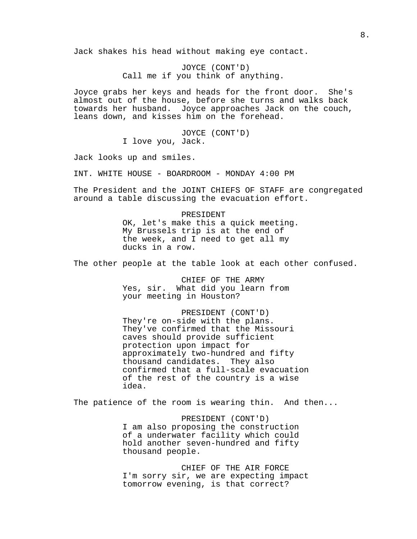Jack shakes his head without making eye contact.

JOYCE (CONT'D) Call me if you think of anything.

Joyce grabs her keys and heads for the front door. She's almost out of the house, before she turns and walks back towards her husband. Joyce approaches Jack on the couch, leans down, and kisses him on the forehead.

> JOYCE (CONT'D) I love you, Jack.

Jack looks up and smiles.

INT. WHITE HOUSE - BOARDROOM - MONDAY 4:00 PM

The President and the JOINT CHIEFS OF STAFF are congregated around a table discussing the evacuation effort.

> PRESIDENT OK, let's make this a quick meeting. My Brussels trip is at the end of the week, and I need to get all my ducks in a row.

The other people at the table look at each other confused.

CHIEF OF THE ARMY Yes, sir. What did you learn from your meeting in Houston?

PRESIDENT (CONT'D) They're on-side with the plans. They've confirmed that the Missouri caves should provide sufficient protection upon impact for approximately two-hundred and fifty thousand candidates. They also confirmed that a full-scale evacuation of the rest of the country is a wise idea.

The patience of the room is wearing thin. And then...

PRESIDENT (CONT'D) I am also proposing the construction of a underwater facility which could hold another seven-hundred and fifty thousand people.

CHIEF OF THE AIR FORCE I'm sorry sir, we are expecting impact tomorrow evening, is that correct?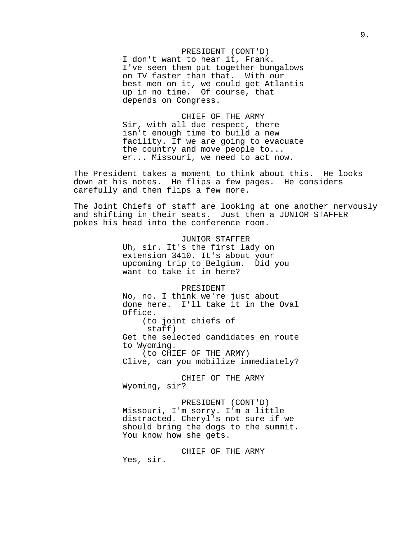PRESIDENT (CONT'D) I don't want to hear it, Frank. I've seen them put together bungalows on TV faster than that. With our best men on it, we could get Atlantis up in no time. Of course, that depends on Congress.

CHIEF OF THE ARMY Sir, with all due respect, there isn't enough time to build a new facility. If we are going to evacuate the country and move people to... er... Missouri, we need to act now.

The President takes a moment to think about this. He looks down at his notes. He flips a few pages. He considers carefully and then flips a few more.

The Joint Chiefs of staff are looking at one another nervously and shifting in their seats. Just then a JUNIOR STAFFER pokes his head into the conference room.

> JUNIOR STAFFER Uh, sir. It's the first lady on extension 3410. It's about your upcoming trip to Belgium. Did you want to take it in here?

> > PRESIDENT

No, no. I think we're just about done here. I'll take it in the Oval Office. (to joint chiefs of staff) Get the selected candidates en route to Wyoming. (to CHIEF OF THE ARMY) Clive, can you mobilize immediately?

CHIEF OF THE ARMY Wyoming, sir?

PRESIDENT (CONT'D) Missouri, I'm sorry. I'm a little distracted. Cheryl's not sure if we should bring the dogs to the summit. You know how she gets.

CHIEF OF THE ARMY Yes, sir.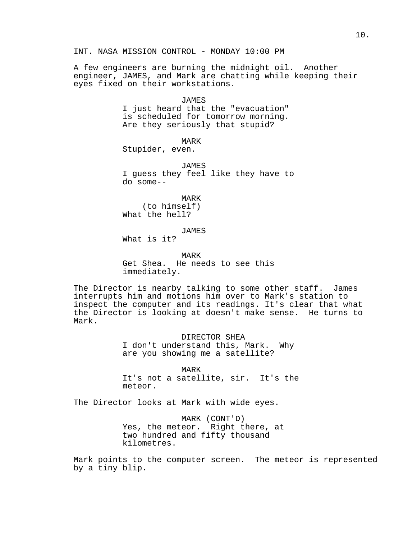A few engineers are burning the midnight oil. Another engineer, JAMES, and Mark are chatting while keeping their eyes fixed on their workstations.

# JAMES I just heard that the "evacuation" is scheduled for tomorrow morning. Are they seriously that stupid?

MARK

Stupider, even.

JAMES I guess they feel like they have to do some--

MARK (to himself) What the hell?

JAMES

What is it?

MARK Get Shea. He needs to see this immediately.

The Director is nearby talking to some other staff. James interrupts him and motions him over to Mark's station to inspect the computer and its readings. It's clear that what the Director is looking at doesn't make sense. He turns to Mark.

> DIRECTOR SHEA I don't understand this, Mark. Why are you showing me a satellite?

MARK It's not a satellite, sir. It's the meteor.

The Director looks at Mark with wide eyes.

MARK (CONT'D) Yes, the meteor. Right there, at two hundred and fifty thousand kilometres.

Mark points to the computer screen. The meteor is represented by a tiny blip.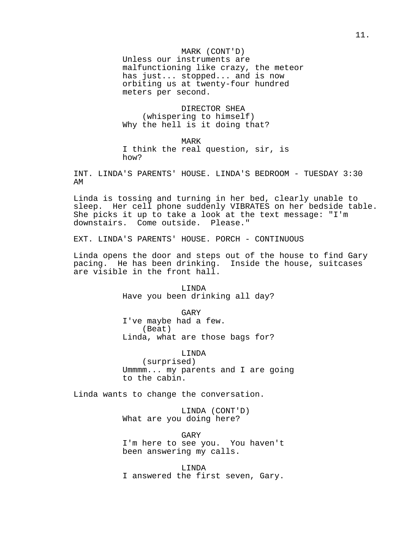MARK (CONT'D) Unless our instruments are malfunctioning like crazy, the meteor has just... stopped... and is now orbiting us at twenty-four hundred meters per second.

DIRECTOR SHEA (whispering to himself) Why the hell is it doing that?

MARK I think the real question, sir, is how?

INT. LINDA'S PARENTS' HOUSE. LINDA'S BEDROOM - TUESDAY 3:30 AM

Linda is tossing and turning in her bed, clearly unable to sleep. Her cell phone suddenly VIBRATES on her bedside table. She picks it up to take a look at the text message: "I'm downstairs. Come outside. Please."

EXT. LINDA'S PARENTS' HOUSE. PORCH - CONTINUOUS

Linda opens the door and steps out of the house to find Gary pacing. He has been drinking. Inside the house, suitcases are visible in the front hall.

> LINDA Have you been drinking all day?

> GARY I've maybe had a few. (Beat) Linda, what are those bags for?

LINDA (surprised) Ummmm... my parents and I are going to the cabin.

Linda wants to change the conversation.

LINDA (CONT'D) What are you doing here?

GARY I'm here to see you. You haven't been answering my calls.

LINDA I answered the first seven, Gary.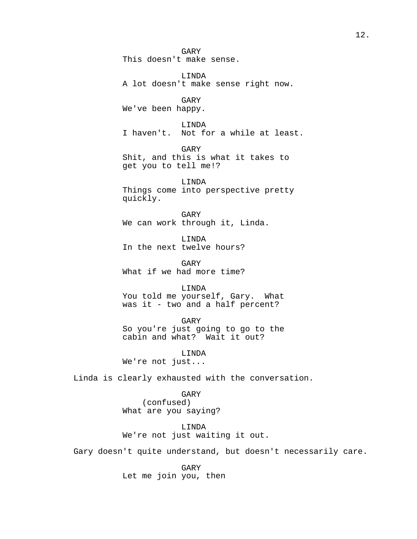GARY This doesn't make sense. LINDA A lot doesn't make sense right now. GARY We've been happy. LINDA I haven't. Not for a while at least. GARY Shit, and this is what it takes to get you to tell me!? LINDA Things come into perspective pretty quickly. GARY We can work through it, Linda. LINDA In the next twelve hours? GARY What if we had more time? LINDA You told me yourself, Gary. What was it - two and a half percent? GARY So you're just going to go to the cabin and what? Wait it out? LINDA We're not just... Linda is clearly exhausted with the conversation.

GARY (confused) What are you saying?

LINDA We're not just waiting it out.

Gary doesn't quite understand, but doesn't necessarily care.

GARY Let me join you, then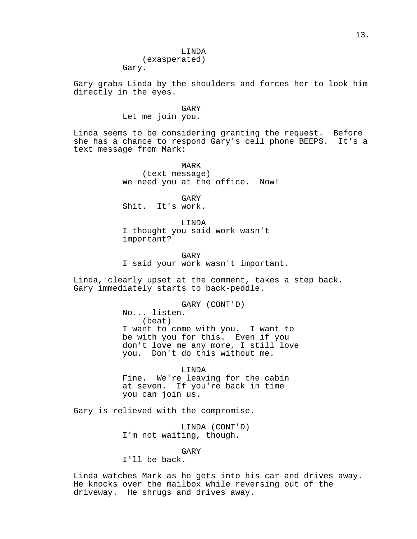### LINDA

(exasperated) Gary.

Gary grabs Linda by the shoulders and forces her to look him directly in the eyes.

GARY

Let me join you.

Linda seems to be considering granting the request. Before she has a chance to respond Gary's cell phone BEEPS. It's a text message from Mark:

> MARK (text message) We need you at the office. Now!

GARY Shit. It's work.

LINDA I thought you said work wasn't important?

GARY I said your work wasn't important.

Linda, clearly upset at the comment, takes a step back. Gary immediately starts to back-peddle.

> GARY (CONT'D) No... listen. (beat) I want to come with you. I want to be with you for this. Even if you don't love me any more, I still love you. Don't do this without me.

LINDA Fine. We're leaving for the cabin at seven. If you're back in time you can join us.

Gary is relieved with the compromise.

LINDA (CONT'D) I'm not waiting, though.

GARY

I'll be back.

Linda watches Mark as he gets into his car and drives away. He knocks over the mailbox while reversing out of the driveway. He shrugs and drives away.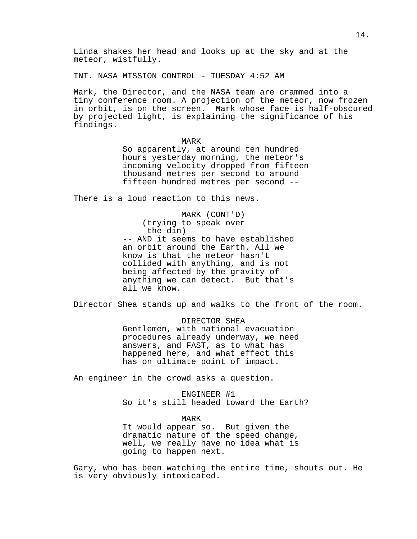Linda shakes her head and looks up at the sky and at the meteor, wistfully.

INT. NASA MISSION CONTROL - TUESDAY 4:52 AM

Mark, the Director, and the NASA team are crammed into a tiny conference room. A projection of the meteor, now frozen in orbit, is on the screen. Mark whose face is half-obscured by projected light, is explaining the significance of his findings.

MARK

So apparently, at around ten hundred hours yesterday morning, the meteor's incoming velocity dropped from fifteen thousand metres per second to around fifteen hundred metres per second --

There is a loud reaction to this news.

MARK (CONT'D) (trying to speak over the din) -- AND it seems to have established an orbit around the Earth. All we know is that the meteor hasn't collided with anything, and is not being affected by the gravity of anything we can detect. But that's all we know.

Director Shea stands up and walks to the front of the room.

DIRECTOR SHEA Gentlemen, with national evacuation procedures already underway, we need answers, and FAST, as to what has happened here, and what effect this has on ultimate point of impact.

An engineer in the crowd asks a question.

ENGINEER #1 So it's still headed toward the Earth?

MARK It would appear so. But given the dramatic nature of the speed change, well, we really have no idea what is going to happen next.

Gary, who has been watching the entire time, shouts out. He is very obviously intoxicated.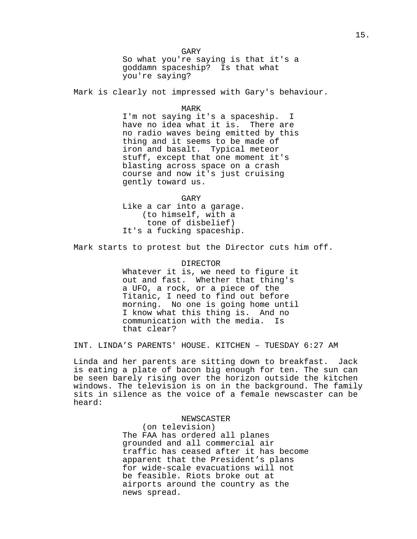GARY So what you're saying is that it's a goddamn spaceship? Is that what you're saying?

Mark is clearly not impressed with Gary's behaviour.

### MARK

I'm not saying it's a spaceship. I have no idea what it is. There are no radio waves being emitted by this thing and it seems to be made of iron and basalt. Typical meteor stuff, except that one moment it's blasting across space on a crash course and now it's just cruising gently toward us.

GARY Like a car into a garage. (to himself, with a tone of disbelief) It's a fucking spaceship.

Mark starts to protest but the Director cuts him off.

DIRECTOR Whatever it is, we need to figure it out and fast. Whether that thing's a UFO, a rock, or a piece of the Titanic, I need to find out before morning. No one is going home until I know what this thing is. And no communication with the media. Is that clear?

INT. LINDA'S PARENTS' HOUSE. KITCHEN – TUESDAY 6:27 AM

Linda and her parents are sitting down to breakfast. Jack is eating a plate of bacon big enough for ten. The sun can be seen barely rising over the horizon outside the kitchen windows. The television is on in the background. The family sits in silence as the voice of a female newscaster can be heard:

> NEWSCASTER (on television) The FAA has ordered all planes grounded and all commercial air traffic has ceased after it has become apparent that the President's plans for wide-scale evacuations will not be feasible. Riots broke out at airports around the country as the news spread.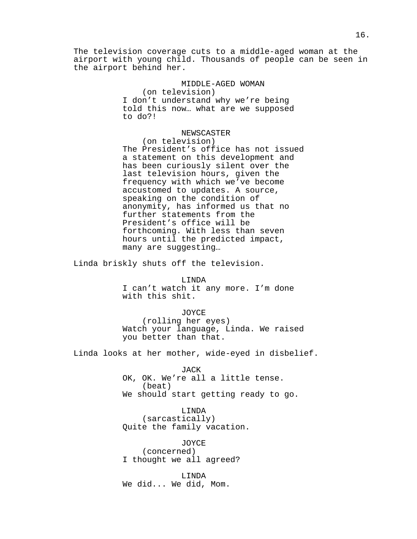The television coverage cuts to a middle-aged woman at the airport with young child. Thousands of people can be seen in the airport behind her.

> MIDDLE-AGED WOMAN (on television) I don't understand why we're being told this now… what are we supposed to do?!

### NEWSCASTER

(on television) The President's office has not issued a statement on this development and has been curiously silent over the last television hours, given the frequency with which we've become accustomed to updates. A source, speaking on the condition of anonymity, has informed us that no further statements from the President's office will be forthcoming. With less than seven hours until the predicted impact, many are suggesting…

Linda briskly shuts off the television.

LINDA

I can't watch it any more. I'm done with this shit.

#### JOYCE

(rolling her eyes) Watch your language, Linda. We raised you better than that.

Linda looks at her mother, wide-eyed in disbelief.

#### JACK

OK, OK. We're all a little tense. (beat) We should start getting ready to go.

LINDA (sarcastically) Quite the family vacation.

JOYCE (concerned) I thought we all agreed?

LINDA We did... We did, Mom.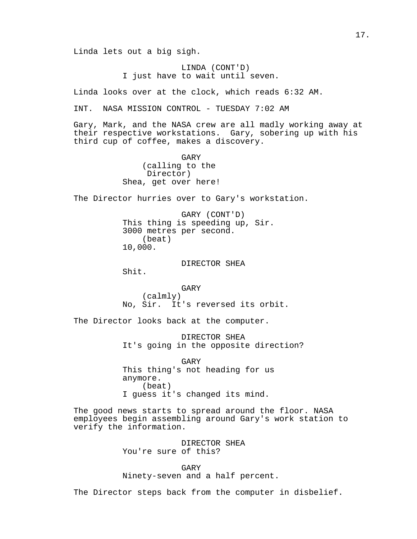Linda lets out a big sigh.

LINDA (CONT'D) I just have to wait until seven.

Linda looks over at the clock, which reads 6:32 AM.

INT. NASA MISSION CONTROL - TUESDAY 7:02 AM

Gary, Mark, and the NASA crew are all madly working away at their respective workstations. Gary, sobering up with his third cup of coffee, makes a discovery.

> GARY (calling to the Director) Shea, get over here!

The Director hurries over to Gary's workstation.

GARY (CONT'D) This thing is speeding up, Sir. 3000 metres per second. (beat) 10,000.

DIRECTOR SHEA

Shit.

GARY (calmly) No, Sir. It's reversed its orbit.

The Director looks back at the computer.

DIRECTOR SHEA It's going in the opposite direction?

GARY This thing's not heading for us anymore. (beat) I guess it's changed its mind.

The good news starts to spread around the floor. NASA employees begin assembling around Gary's work station to verify the information.

> DIRECTOR SHEA You're sure of this?

GARY Ninety-seven and a half percent.

The Director steps back from the computer in disbelief.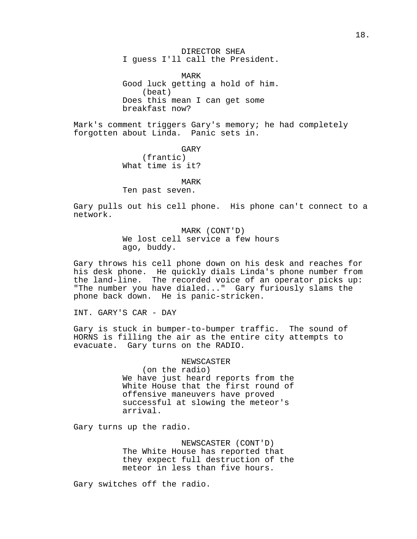DIRECTOR SHEA I guess I'll call the President.

MARK Good luck getting a hold of him. (beat) Does this mean I can get some breakfast now?

Mark's comment triggers Gary's memory; he had completely forgotten about Linda. Panic sets in.

> GARY (frantic) What time is it?

MARK Ten past seven.

Gary pulls out his cell phone. His phone can't connect to a network.

> MARK (CONT'D) We lost cell service a few hours ago, buddy.

Gary throws his cell phone down on his desk and reaches for his desk phone. He quickly dials Linda's phone number from the land-line. The recorded voice of an operator picks up: "The number you have dialed..." Gary furiously slams the phone back down. He is panic-stricken.

INT. GARY'S CAR - DAY

Gary is stuck in bumper-to-bumper traffic. The sound of HORNS is filling the air as the entire city attempts to evacuate. Gary turns on the RADIO.

> NEWSCASTER (on the radio) We have just heard reports from the White House that the first round of offensive maneuvers have proved successful at slowing the meteor's arrival.

Gary turns up the radio.

NEWSCASTER (CONT'D) The White House has reported that they expect full destruction of the meteor in less than five hours.

Gary switches off the radio.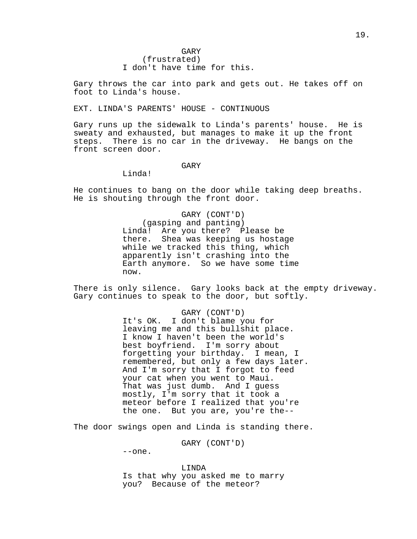Gary throws the car into park and gets out. He takes off on foot to Linda's house.

## EXT. LINDA'S PARENTS' HOUSE - CONTINUOUS

Gary runs up the sidewalk to Linda's parents' house. He is sweaty and exhausted, but manages to make it up the front steps. There is no car in the driveway. He bangs on the front screen door.

### GARY

Linda!

He continues to bang on the door while taking deep breaths. He is shouting through the front door.

> GARY (CONT'D) (gasping and panting) Linda! Are you there? Please be there. Shea was keeping us hostage while we tracked this thing, which apparently isn't crashing into the Earth anymore. So we have some time now.

There is only silence. Gary looks back at the empty driveway. Gary continues to speak to the door, but softly.

### GARY (CONT'D)

It's OK. I don't blame you for leaving me and this bullshit place. I know I haven't been the world's best boyfriend. I'm sorry about forgetting your birthday. I mean, I remembered, but only a few days later. And I'm sorry that I forgot to feed your cat when you went to Maui. That was just dumb. And I guess mostly, I'm sorry that it took a meteor before I realized that you're the one. But you are, you're the--

The door swings open and Linda is standing there.

GARY (CONT'D)

--one.

LINDA Is that why you asked me to marry you? Because of the meteor?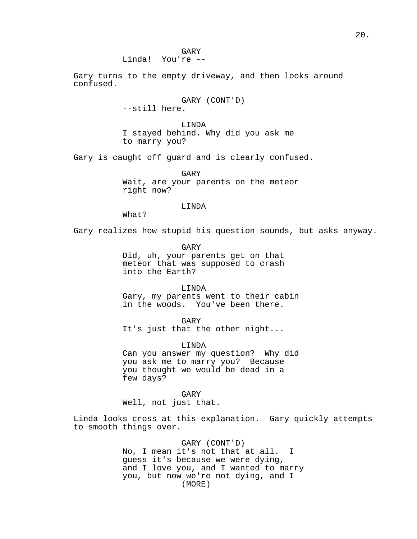GARY Linda! You're --

Gary turns to the empty driveway, and then looks around confused.

> GARY (CONT'D) --still here.

LINDA I stayed behind. Why did you ask me to marry you?

Gary is caught off guard and is clearly confused.

GARY Wait, are your parents on the meteor right now?

LINDA

What?

Gary realizes how stupid his question sounds, but asks anyway.

GARY

Did, uh, your parents get on that meteor that was supposed to crash into the Earth?

LINDA Gary, my parents went to their cabin in the woods. You've been there.

GARY It's just that the other night...

LINDA Can you answer my question? Why did you ask me to marry you? Because you thought we would be dead in a few days?

GARY Well, not just that.

Linda looks cross at this explanation. Gary quickly attempts to smooth things over.

> GARY (CONT'D) No, I mean it's not that at all. I guess it's because we were dying, and I love you, and I wanted to marry you, but now we're not dying, and I (MORE)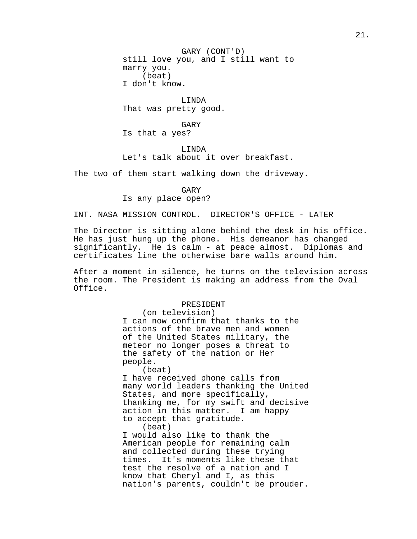GARY (CONT'D) still love you, and I still want to marry you. (beat) I don't know.

LINDA That was pretty good.

GARY Is that a yes?

LINDA Let's talk about it over breakfast.

The two of them start walking down the driveway.

GARY Is any place open?

INT. NASA MISSION CONTROL. DIRECTOR'S OFFICE - LATER

The Director is sitting alone behind the desk in his office. He has just hung up the phone. His demeanor has changed significantly. He is calm - at peace almost. Diplomas and certificates line the otherwise bare walls around him.

After a moment in silence, he turns on the television across the room. The President is making an address from the Oval Office.

#### PRESIDENT

(on television) I can now confirm that thanks to the actions of the brave men and women of the United States military, the meteor no longer poses a threat to the safety of the nation or Her people.

(beat)

I have received phone calls from many world leaders thanking the United States, and more specifically, thanking me, for my swift and decisive action in this matter. I am happy to accept that gratitude.

(beat)

I would also like to thank the American people for remaining calm and collected during these trying times. It's moments like these that test the resolve of a nation and I know that Cheryl and I, as this nation's parents, couldn't be prouder.